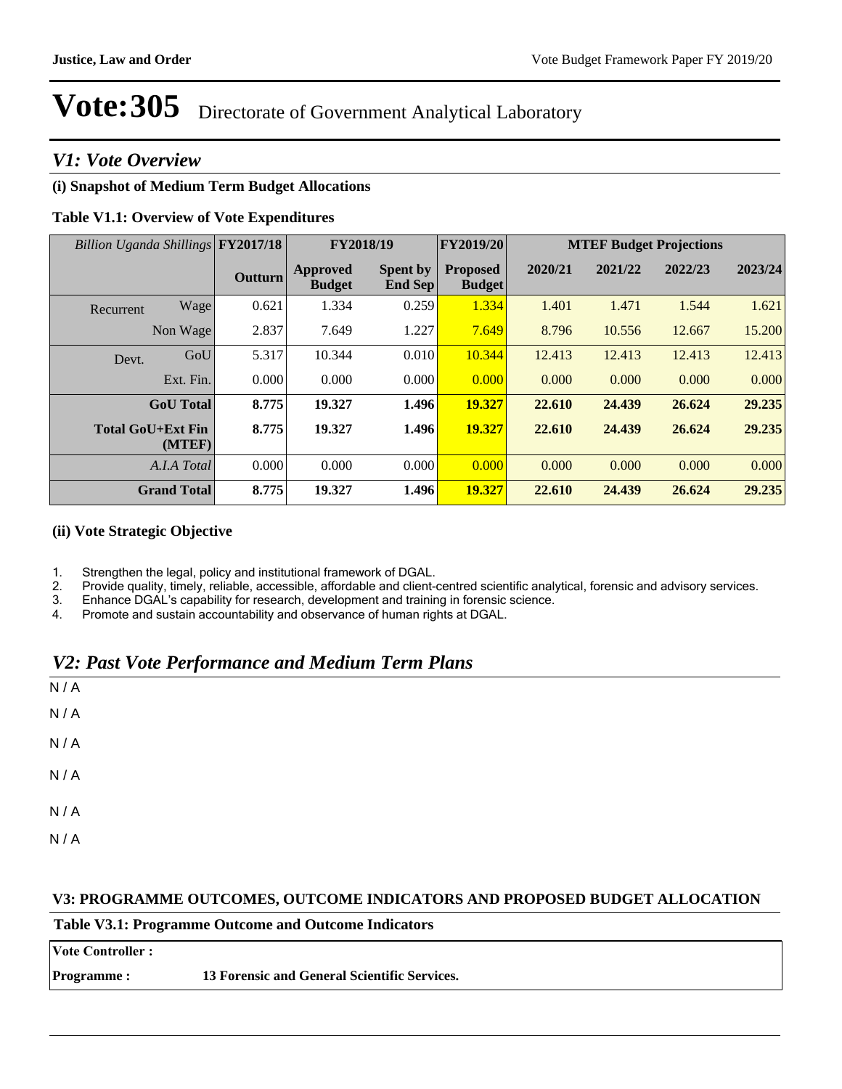### *V1: Vote Overview*

#### **(i) Snapshot of Medium Term Budget Allocations**

#### **Table V1.1: Overview of Vote Expenditures**

| Billion Uganda Shillings FY2017/18 |                    | FY2018/19      |                           | FY2019/20                  | <b>MTEF Budget Projections</b>   |         |         |         |         |
|------------------------------------|--------------------|----------------|---------------------------|----------------------------|----------------------------------|---------|---------|---------|---------|
|                                    |                    | <b>Outturn</b> | Approved<br><b>Budget</b> | <b>Spent by</b><br>End Sep | <b>Proposed</b><br><b>Budget</b> | 2020/21 | 2021/22 | 2022/23 | 2023/24 |
| Recurrent                          | Wage               | 0.621          | 1.334                     | 0.259                      | 1.334                            | 1.401   | 1.471   | 1.544   | 1.621   |
|                                    | Non Wage           | 2.837          | 7.649                     | 1.227                      | 7.649                            | 8.796   | 10.556  | 12.667  | 15.200  |
| Devt.                              | GoU                | 5.317          | 10.344                    | 0.010                      | 10.344                           | 12.413  | 12.413  | 12.413  | 12.413  |
|                                    | Ext. Fin.          | 0.000          | 0.000                     | 0.000                      | 0.000                            | 0.000   | 0.000   | 0.000   | 0.000   |
|                                    | <b>GoU</b> Total   | 8.775          | 19.327                    | 1.496                      | 19.327                           | 22.610  | 24.439  | 26.624  | 29.235  |
| <b>Total GoU+Ext Fin</b>           | (MTER)             | 8.775          | 19.327                    | 1.496                      | 19.327                           | 22.610  | 24.439  | 26.624  | 29.235  |
|                                    | A.I.A Total        | 0.000          | 0.000                     | 0.000                      | 0.000                            | 0.000   | 0.000   | 0.000   | 0.000   |
|                                    | <b>Grand Total</b> | 8.775          | 19.327                    | 1.496                      | 19.327                           | 22.610  | 24.439  | 26.624  | 29.235  |

#### **(ii) Vote Strategic Objective**

1. Strengthen the legal, policy and institutional framework of DGAL.

2. Provide quality, timely, reliable, accessible, affordable and client-centred scientific analytical, forensic and advisory services.<br>3. Enhance DGAL's capability for research, development and training in forensic science

- Enhance DGAL's capability for research, development and training in forensic science.
- 4. Promote and sustain accountability and observance of human rights at DGAL.

### *V2: Past Vote Performance and Medium Term Plans*

| N/A                         |  |  |  |
|-----------------------------|--|--|--|
| N/A                         |  |  |  |
| N/A                         |  |  |  |
| N/A                         |  |  |  |
| $\mathsf{N}\,/\,\mathsf{A}$ |  |  |  |
| N/A                         |  |  |  |

#### **V3: PROGRAMME OUTCOMES, OUTCOME INDICATORS AND PROPOSED BUDGET ALLOCATION**

| <b>Table V3.1: Programme Outcome and Outcome Indicators</b> |                                              |  |  |
|-------------------------------------------------------------|----------------------------------------------|--|--|
| <b>Vote Controller:</b>                                     |                                              |  |  |
| <b>Programme:</b>                                           | 13 Forensic and General Scientific Services. |  |  |
|                                                             |                                              |  |  |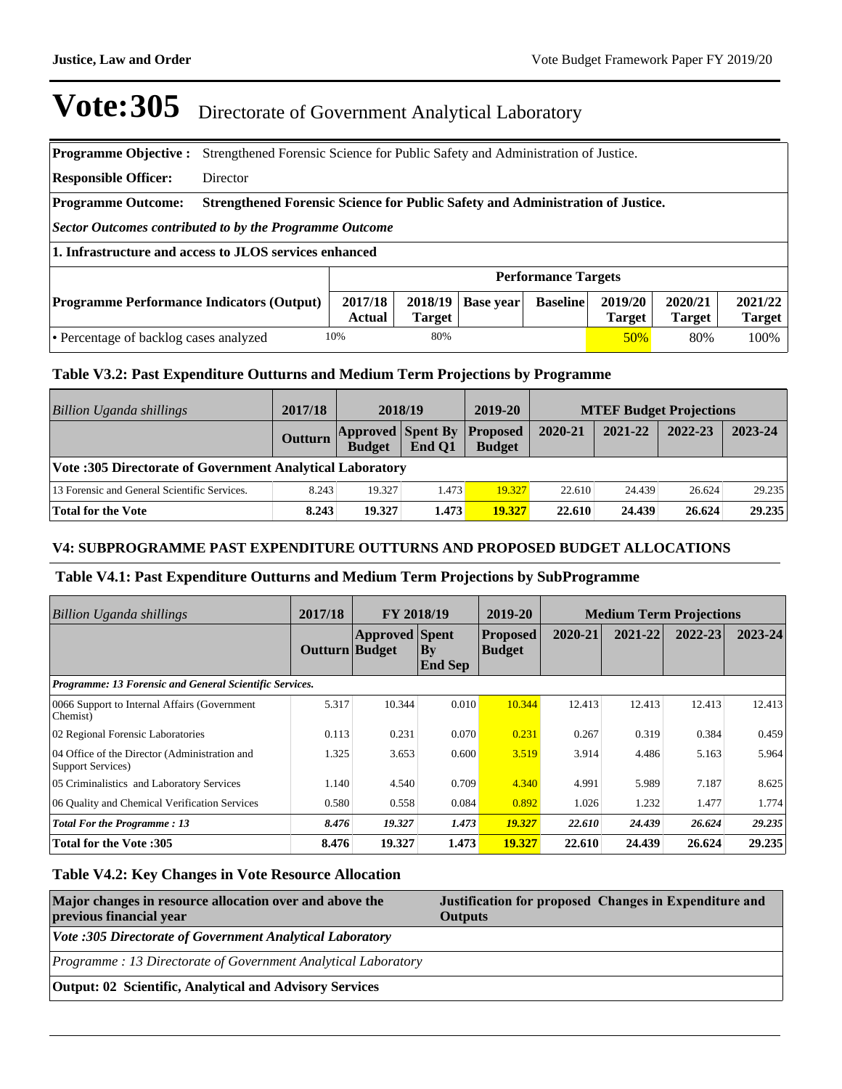| <b>Programme Objective:</b>                                                                                                                                                                                           |                                                                                | Strengthened Forensic Science for Public Safety and Administration of Justice. |  |  |      |  |  |
|-----------------------------------------------------------------------------------------------------------------------------------------------------------------------------------------------------------------------|--------------------------------------------------------------------------------|--------------------------------------------------------------------------------|--|--|------|--|--|
| <b>Responsible Officer:</b>                                                                                                                                                                                           | Director                                                                       |                                                                                |  |  |      |  |  |
| <b>Programme Outcome:</b>                                                                                                                                                                                             | Strengthened Forensic Science for Public Safety and Administration of Justice. |                                                                                |  |  |      |  |  |
| Sector Outcomes contributed to by the Programme Outcome                                                                                                                                                               |                                                                                |                                                                                |  |  |      |  |  |
| 1. Infrastructure and access to JLOS services enhanced                                                                                                                                                                |                                                                                |                                                                                |  |  |      |  |  |
|                                                                                                                                                                                                                       | <b>Performance Targets</b>                                                     |                                                                                |  |  |      |  |  |
| 2021/22<br>2017/18<br>2020/21<br>2018/19<br>2019/20<br>Base year<br><b>Baseline</b><br><b>Programme Performance Indicators (Output)</b><br><b>Target</b><br><b>Actual</b><br><b>Target</b><br><b>Target</b><br>Target |                                                                                |                                                                                |  |  |      |  |  |
| 80%<br>10%<br>50%<br>• Percentage of backlog cases analyzed<br>80%                                                                                                                                                    |                                                                                |                                                                                |  |  | 100% |  |  |

#### **Table V3.2: Past Expenditure Outturns and Medium Term Projections by Programme**

| Billion Uganda shillings                                  | 2017/18 |                                                    | 2018/19 | 2019-20       |         |         | <b>MTEF Budget Projections</b> |         |
|-----------------------------------------------------------|---------|----------------------------------------------------|---------|---------------|---------|---------|--------------------------------|---------|
|                                                           | Outturn | <b>Approved Spent By Proposed</b><br><b>Budget</b> | End O1  | <b>Budget</b> | 2020-21 | 2021-22 | 2022-23                        | 2023-24 |
| Vote :305 Directorate of Government Analytical Laboratory |         |                                                    |         |               |         |         |                                |         |
| 13 Forensic and General Scientific Services.              | 8.243   | 19.327                                             | 1.473   | 19.327        | 22.610  | 24.439  | 26.624                         | 29.235  |
| Total for the Vote                                        | 8.243   | 19.327                                             | 1.473   | 19.327        | 22.610  | 24.439  | 26.624                         | 29.235  |

#### **V4: SUBPROGRAMME PAST EXPENDITURE OUTTURNS AND PROPOSED BUDGET ALLOCATIONS**

#### **Table V4.1: Past Expenditure Outturns and Medium Term Projections by SubProgramme**

| Billion Uganda shillings                                                   | 2017/18        | FY 2018/19            |                       | 2019-20                          |         | <b>Medium Term Projections</b> |         |             |
|----------------------------------------------------------------------------|----------------|-----------------------|-----------------------|----------------------------------|---------|--------------------------------|---------|-------------|
|                                                                            | Outturn Budget | <b>Approved Spent</b> | By <br><b>End Sep</b> | <b>Proposed</b><br><b>Budget</b> | 2020-21 | 2021-22                        | 2022-23 | $2023 - 24$ |
| Programme: 13 Forensic and General Scientific Services.                    |                |                       |                       |                                  |         |                                |         |             |
| 0066 Support to Internal Affairs (Government)<br>Chemist)                  | 5.317          | 10.344                | 0.010                 | 10.344                           | 12.413  | 12.413                         | 12.413  | 12.413      |
| 02 Regional Forensic Laboratories                                          | 0.113          | 0.231                 | 0.070                 | 0.231                            | 0.267   | 0.319                          | 0.384   | 0.459       |
| 04 Office of the Director (Administration and<br><b>Support Services</b> ) | 1.325          | 3.653                 | 0.600                 | 3.519                            | 3.914   | 4.486                          | 5.163   | 5.964       |
| 05 Criminalistics and Laboratory Services                                  | 1.140          | 4.540                 | 0.709                 | 4.340                            | 4.991   | 5.989                          | 7.187   | 8.625       |
| 06 Quality and Chemical Verification Services                              | 0.580          | 0.558                 | 0.084                 | 0.892                            | 1.026   | 1.232                          | 1.477   | 1.774       |
| <b>Total For the Programme: 13</b>                                         | 8.476          | 19.327                | 1.473                 | 19.327                           | 22.610  | 24.439                         | 26.624  | 29.235      |
| Total for the Vote :305                                                    | 8.476          | 19.327                | 1.473                 | 19.327                           | 22.610  | 24.439                         | 26.624  | 29.235      |

#### **Table V4.2: Key Changes in Vote Resource Allocation**

| Major changes in resource allocation over and above the<br>previous financial year | Justification for proposed Changes in Expenditure and<br><b>Outputs</b> |  |  |  |
|------------------------------------------------------------------------------------|-------------------------------------------------------------------------|--|--|--|
| <i>Vote :305 Directorate of Government Analytical Laboratory</i>                   |                                                                         |  |  |  |
| Programme: 13 Directorate of Government Analytical Laboratory                      |                                                                         |  |  |  |
| <b>Output: 02 Scientific, Analytical and Advisory Services</b>                     |                                                                         |  |  |  |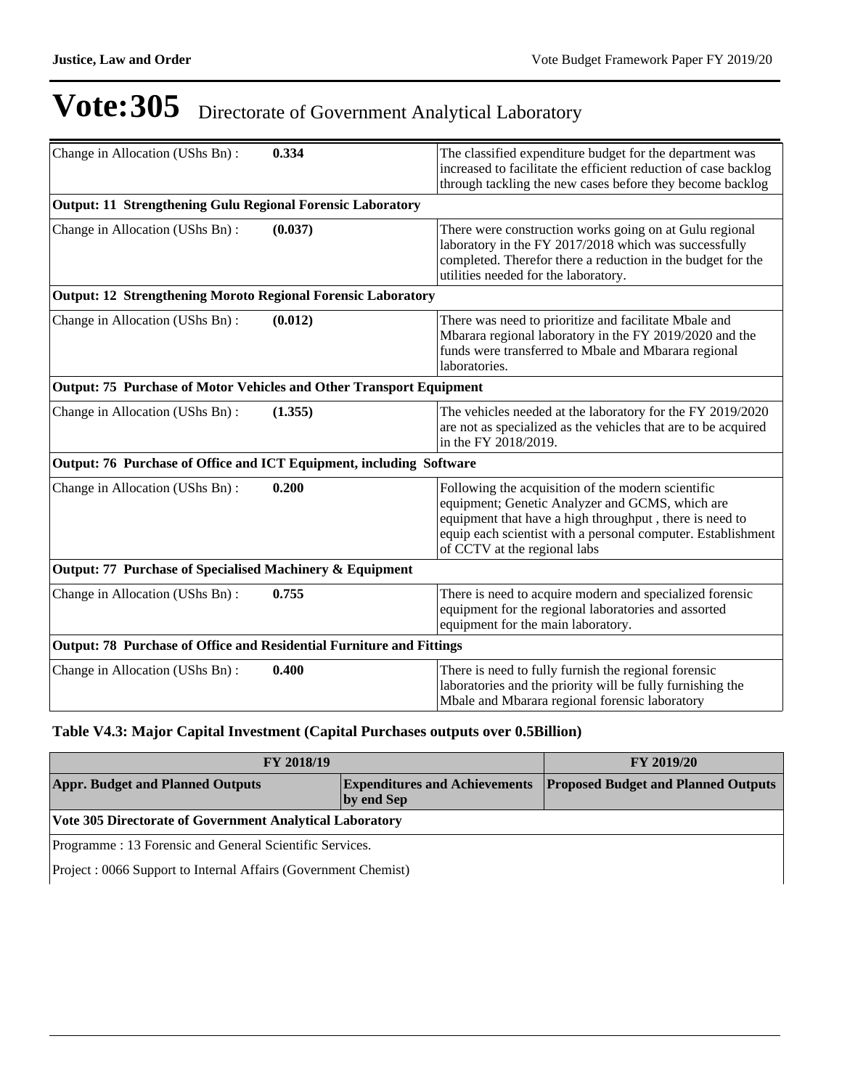| Change in Allocation (UShs Bn):                                      | 0.334   | The classified expenditure budget for the department was<br>increased to facilitate the efficient reduction of case backlog<br>through tackling the new cases before they become backlog                                                                         |
|----------------------------------------------------------------------|---------|------------------------------------------------------------------------------------------------------------------------------------------------------------------------------------------------------------------------------------------------------------------|
| <b>Output: 11 Strengthening Gulu Regional Forensic Laboratory</b>    |         |                                                                                                                                                                                                                                                                  |
| Change in Allocation (UShs Bn):<br>(0.037)                           |         | There were construction works going on at Gulu regional<br>laboratory in the FY 2017/2018 which was successfully<br>completed. Therefor there a reduction in the budget for the<br>utilities needed for the laboratory.                                          |
| <b>Output: 12 Strengthening Moroto Regional Forensic Laboratory</b>  |         |                                                                                                                                                                                                                                                                  |
| Change in Allocation (UShs Bn):                                      | (0.012) | There was need to prioritize and facilitate Mbale and<br>Mbarara regional laboratory in the FY 2019/2020 and the<br>funds were transferred to Mbale and Mbarara regional<br>laboratories.                                                                        |
| Output: 75 Purchase of Motor Vehicles and Other Transport Equipment  |         |                                                                                                                                                                                                                                                                  |
| Change in Allocation (UShs Bn):                                      | (1.355) | The vehicles needed at the laboratory for the FY 2019/2020<br>are not as specialized as the vehicles that are to be acquired<br>in the FY 2018/2019.                                                                                                             |
| Output: 76 Purchase of Office and ICT Equipment, including Software  |         |                                                                                                                                                                                                                                                                  |
| Change in Allocation (UShs Bn):                                      | 0.200   | Following the acquisition of the modern scientific<br>equipment; Genetic Analyzer and GCMS, which are<br>equipment that have a high throughput, there is need to<br>equip each scientist with a personal computer. Establishment<br>of CCTV at the regional labs |
| Output: 77 Purchase of Specialised Machinery & Equipment             |         |                                                                                                                                                                                                                                                                  |
| Change in Allocation (UShs Bn):                                      | 0.755   | There is need to acquire modern and specialized forensic<br>equipment for the regional laboratories and assorted<br>equipment for the main laboratory.                                                                                                           |
| Output: 78 Purchase of Office and Residential Furniture and Fittings |         |                                                                                                                                                                                                                                                                  |
| Change in Allocation (UShs Bn):                                      | 0.400   | There is need to fully furnish the regional forensic<br>laboratories and the priority will be fully furnishing the<br>Mbale and Mbarara regional forensic laboratory                                                                                             |

#### **Table V4.3: Major Capital Investment (Capital Purchases outputs over 0.5Billion)**

| <b>FY 2018/19</b>                                        | <b>FY 2019/20</b> |                                                                          |  |  |
|----------------------------------------------------------|-------------------|--------------------------------------------------------------------------|--|--|
| <b>Appr. Budget and Planned Outputs</b><br>by end Sep    |                   | <b>Expenditures and Achievements Proposed Budget and Planned Outputs</b> |  |  |
| Vote 305 Directorate of Government Analytical Laboratory |                   |                                                                          |  |  |
| Programme : 13 Forensic and General Scientific Services. |                   |                                                                          |  |  |

Project : 0066 Support to Internal Affairs (Government Chemist)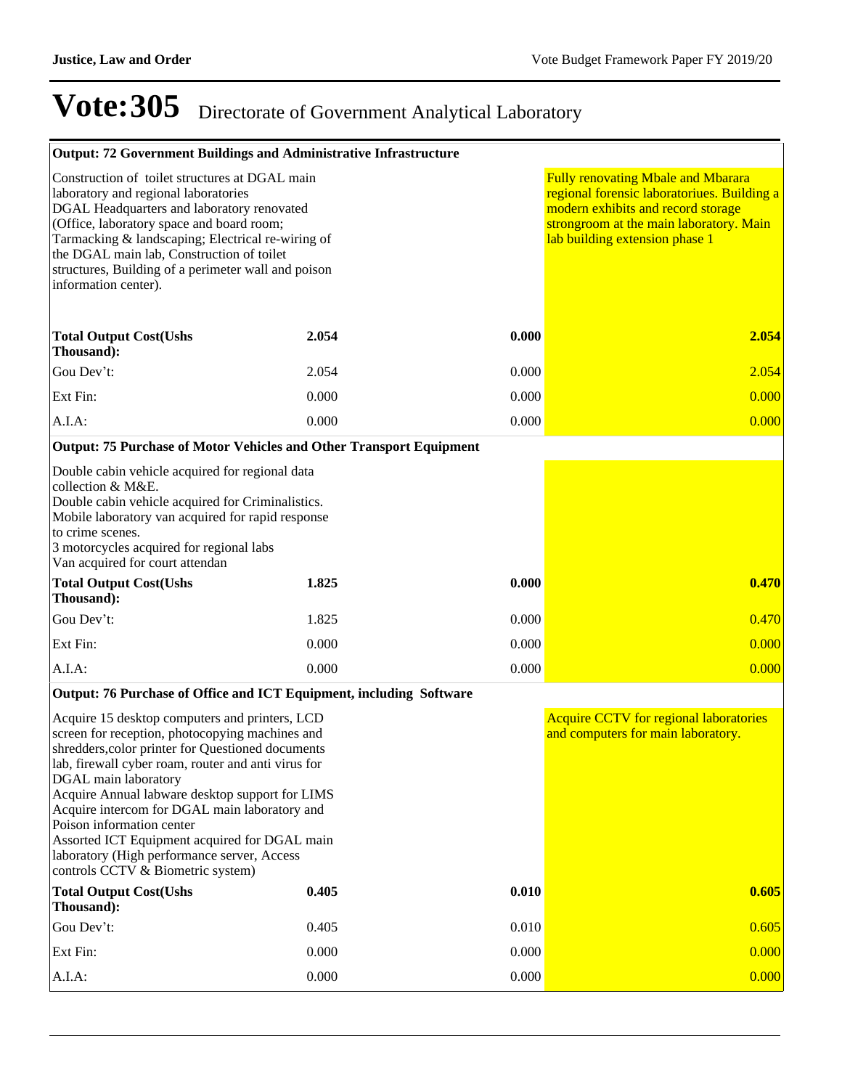| <b>Output: 72 Government Buildings and Administrative Infrastructure</b>                                                                                                                                                                                                                                                                                                                                                                                                                                    |       |       |                                                                                                                                                                                                             |
|-------------------------------------------------------------------------------------------------------------------------------------------------------------------------------------------------------------------------------------------------------------------------------------------------------------------------------------------------------------------------------------------------------------------------------------------------------------------------------------------------------------|-------|-------|-------------------------------------------------------------------------------------------------------------------------------------------------------------------------------------------------------------|
| Construction of toilet structures at DGAL main<br>laboratory and regional laboratories<br>DGAL Headquarters and laboratory renovated<br>(Office, laboratory space and board room;<br>Tarmacking & landscaping; Electrical re-wiring of<br>the DGAL main lab, Construction of toilet<br>structures, Building of a perimeter wall and poison<br>information center).                                                                                                                                          |       |       | <b>Fully renovating Mbale and Mbarara</b><br>regional forensic laboratoriues. Building a<br>modern exhibits and record storage<br>strongroom at the main laboratory. Main<br>lab building extension phase 1 |
| <b>Total Output Cost(Ushs</b><br>Thousand):                                                                                                                                                                                                                                                                                                                                                                                                                                                                 | 2.054 | 0.000 | 2.054                                                                                                                                                                                                       |
| Gou Dev't:                                                                                                                                                                                                                                                                                                                                                                                                                                                                                                  | 2.054 | 0.000 | 2.054                                                                                                                                                                                                       |
| Ext Fin:                                                                                                                                                                                                                                                                                                                                                                                                                                                                                                    | 0.000 | 0.000 | 0.000                                                                                                                                                                                                       |
| A.I.A:                                                                                                                                                                                                                                                                                                                                                                                                                                                                                                      | 0.000 | 0.000 | 0.000                                                                                                                                                                                                       |
| <b>Output: 75 Purchase of Motor Vehicles and Other Transport Equipment</b>                                                                                                                                                                                                                                                                                                                                                                                                                                  |       |       |                                                                                                                                                                                                             |
| Double cabin vehicle acquired for regional data<br>collection & M&E.<br>Double cabin vehicle acquired for Criminalistics.<br>Mobile laboratory van acquired for rapid response<br>to crime scenes.<br>3 motorcycles acquired for regional labs<br>Van acquired for court attendan                                                                                                                                                                                                                           |       |       |                                                                                                                                                                                                             |
| <b>Total Output Cost(Ushs</b><br>Thousand):                                                                                                                                                                                                                                                                                                                                                                                                                                                                 | 1.825 | 0.000 | 0.470                                                                                                                                                                                                       |
| Gou Dev't:                                                                                                                                                                                                                                                                                                                                                                                                                                                                                                  | 1.825 | 0.000 | 0.470                                                                                                                                                                                                       |
| Ext Fin:                                                                                                                                                                                                                                                                                                                                                                                                                                                                                                    | 0.000 | 0.000 | 0.000                                                                                                                                                                                                       |
| A.I.A:                                                                                                                                                                                                                                                                                                                                                                                                                                                                                                      | 0.000 | 0.000 | 0.000                                                                                                                                                                                                       |
| Output: 76 Purchase of Office and ICT Equipment, including Software                                                                                                                                                                                                                                                                                                                                                                                                                                         |       |       |                                                                                                                                                                                                             |
| Acquire 15 desktop computers and printers, LCD<br>screen for reception, photocopying machines and<br>shredders, color printer for Questioned documents<br>lab, firewall cyber roam, router and anti virus for<br>DGAL main laboratory<br>Acquire Annual labware desktop support for LIMS<br>Acquire intercom for DGAL main laboratory and<br>Poison information center<br>Assorted ICT Equipment acquired for DGAL main<br>laboratory (High performance server, Access<br>controls CCTV & Biometric system) |       |       | <b>Acquire CCTV for regional laboratories</b><br>and computers for main laboratory.                                                                                                                         |
| <b>Total Output Cost(Ushs</b><br>Thousand):                                                                                                                                                                                                                                                                                                                                                                                                                                                                 | 0.405 | 0.010 | 0.605                                                                                                                                                                                                       |
| Gou Dev't:                                                                                                                                                                                                                                                                                                                                                                                                                                                                                                  | 0.405 | 0.010 | 0.605                                                                                                                                                                                                       |
| Ext Fin:                                                                                                                                                                                                                                                                                                                                                                                                                                                                                                    | 0.000 | 0.000 | 0.000                                                                                                                                                                                                       |
| A.I.A.                                                                                                                                                                                                                                                                                                                                                                                                                                                                                                      | 0.000 | 0.000 | 0.000                                                                                                                                                                                                       |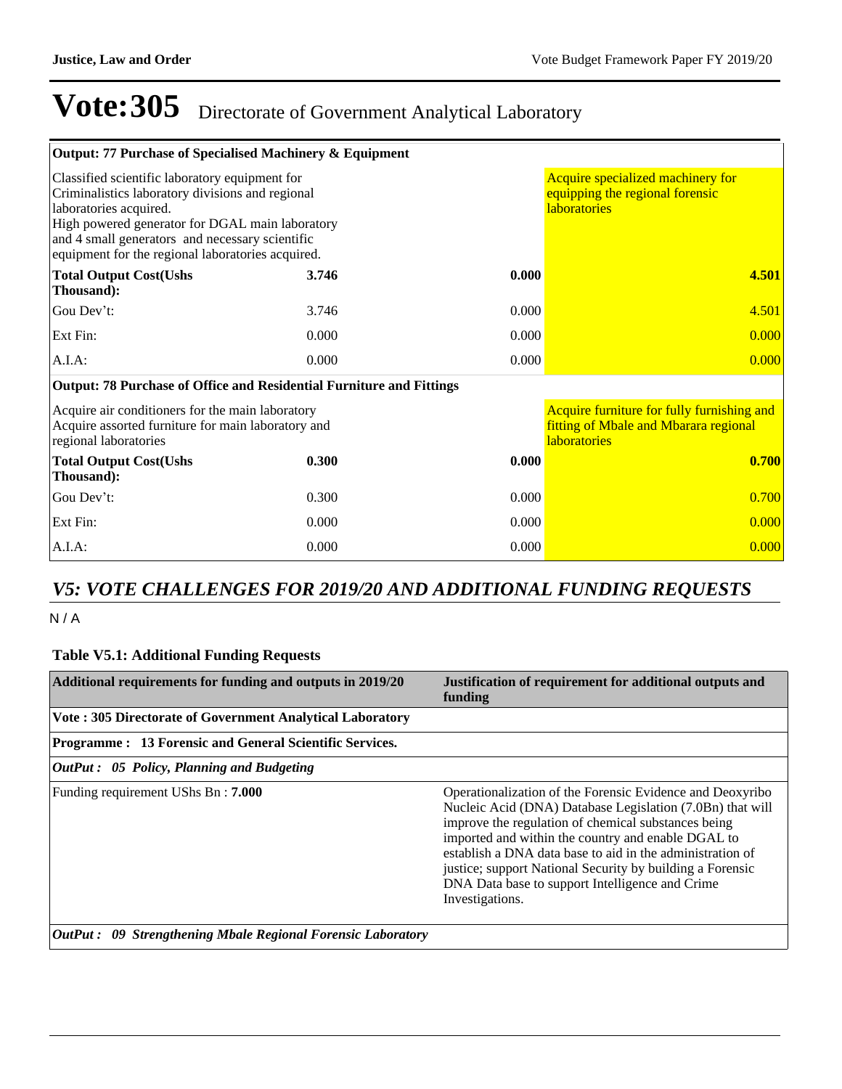| Output: 77 Purchase of Specialised Machinery & Equipment                                                                                                                                                                                                                                |                                                                                             |       |                                                                                                            |
|-----------------------------------------------------------------------------------------------------------------------------------------------------------------------------------------------------------------------------------------------------------------------------------------|---------------------------------------------------------------------------------------------|-------|------------------------------------------------------------------------------------------------------------|
| Classified scientific laboratory equipment for<br>Criminalistics laboratory divisions and regional<br>laboratories acquired.<br>High powered generator for DGAL main laboratory<br>and 4 small generators and necessary scientific<br>equipment for the regional laboratories acquired. | Acquire specialized machinery for<br>equipping the regional forensic<br><b>laboratories</b> |       |                                                                                                            |
| <b>Total Output Cost(Ushs</b><br>Thousand):                                                                                                                                                                                                                                             | 3.746                                                                                       | 0.000 | 4.501                                                                                                      |
| Gou Dev't:                                                                                                                                                                                                                                                                              | 3.746                                                                                       | 0.000 | 4.501                                                                                                      |
| Ext Fin:                                                                                                                                                                                                                                                                                | 0.000                                                                                       | 0.000 | 0.000                                                                                                      |
| $A.I.A$ :                                                                                                                                                                                                                                                                               | 0.000                                                                                       | 0.000 | 0.000                                                                                                      |
| Output: 78 Purchase of Office and Residential Furniture and Fittings                                                                                                                                                                                                                    |                                                                                             |       |                                                                                                            |
| Acquire air conditioners for the main laboratory<br>Acquire assorted furniture for main laboratory and<br>regional laboratories                                                                                                                                                         |                                                                                             |       | Acquire furniture for fully furnishing and<br>fitting of Mbale and Mbarara regional<br><b>laboratories</b> |
| <b>Total Output Cost(Ushs</b><br>Thousand):                                                                                                                                                                                                                                             | 0.300                                                                                       | 0.000 | 0.700                                                                                                      |
| Gou Dev't:                                                                                                                                                                                                                                                                              | 0.300                                                                                       | 0.000 | 0.700                                                                                                      |
| Ext Fin:                                                                                                                                                                                                                                                                                | 0.000                                                                                       | 0.000 | 0.000                                                                                                      |
| $A.I.A$ :                                                                                                                                                                                                                                                                               | 0.000                                                                                       | 0.000 | 0.000                                                                                                      |

### *V5: VOTE CHALLENGES FOR 2019/20 AND ADDITIONAL FUNDING REQUESTS*

N / A

#### **Table V5.1: Additional Funding Requests**

| Additional requirements for funding and outputs in 2019/20                                                | Justification of requirement for additional outputs and<br>funding                                                                                                                                                                                                                                                                                                                                                                  |  |  |  |  |
|-----------------------------------------------------------------------------------------------------------|-------------------------------------------------------------------------------------------------------------------------------------------------------------------------------------------------------------------------------------------------------------------------------------------------------------------------------------------------------------------------------------------------------------------------------------|--|--|--|--|
| Vote: 305 Directorate of Government Analytical Laboratory                                                 |                                                                                                                                                                                                                                                                                                                                                                                                                                     |  |  |  |  |
| Programme: 13 Forensic and General Scientific Services.                                                   |                                                                                                                                                                                                                                                                                                                                                                                                                                     |  |  |  |  |
| OutPut: 05 Policy, Planning and Budgeting                                                                 |                                                                                                                                                                                                                                                                                                                                                                                                                                     |  |  |  |  |
| Funding requirement UShs Bn: 7.000<br><b>OutPut :</b> 09 Strengthening Mbale Regional Forensic Laboratory | Operationalization of the Forensic Evidence and Deoxyribo<br>Nucleic Acid (DNA) Database Legislation (7.0Bn) that will<br>improve the regulation of chemical substances being<br>imported and within the country and enable DGAL to<br>establish a DNA data base to aid in the administration of<br>justice; support National Security by building a Forensic<br>DNA Data base to support Intelligence and Crime<br>Investigations. |  |  |  |  |